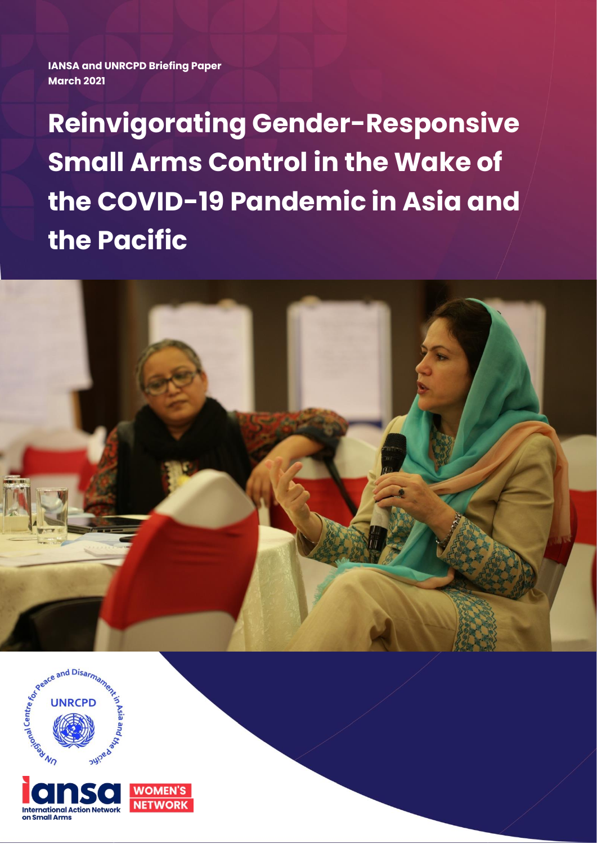**IANSA and UNRCPD Briefing Paper March 2021**

**Reinvigorating Gender-Responsive Small Arms Control in the Wake of the COVID-19 Pandemic in Asia and the Pacific**





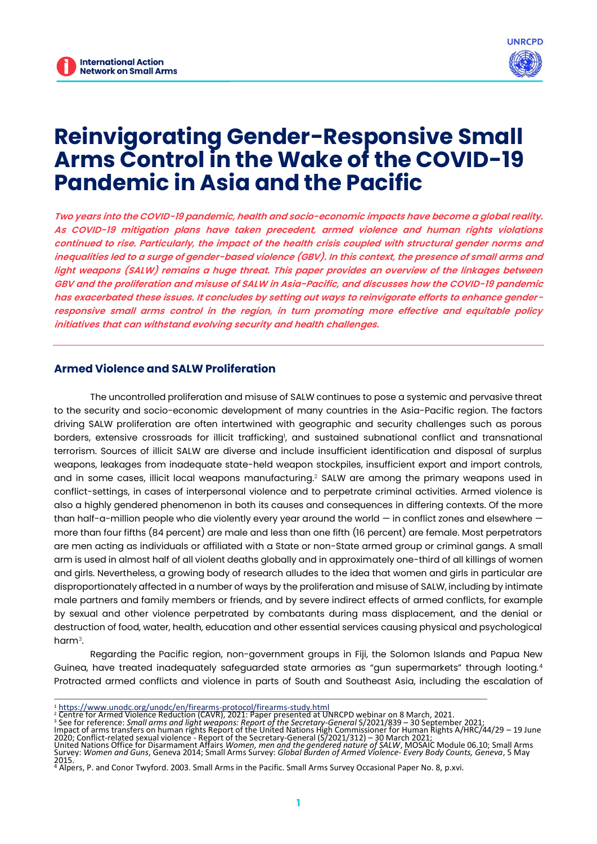

# **Reinvigorating Gender-Responsive Small Arms Control in the Wake of the COVID-19 Pandemic in Asia and the Pacific**

*Two years into the COVID-19 pandemic, health and socio-economic impacts have become a global reality. As COVID-19 mitigation plans have taken precedent, armed violence and human rights violations continued to rise. Particularly, the impact of the health crisis coupled with structural gender norms and inequalities led to a surge of gender-based violence (GBV). In this context, the presence of small arms and light weapons (SALW) remains a huge threat. This paper provides an overview of the linkages between GBV and the proliferation and misuse of SALW in Asia-Pacific, and discusses how the COVID-19 pandemic has exacerbated these issues. It concludes by setting out ways to reinvigorate efforts to enhance genderresponsive small arms control in the region, in turn promoting more effective and equitable policy initiatives that can withstand evolving security and health challenges.*

# **Armed Violence and SALW Proliferation**

The uncontrolled proliferation and misuse of SALW continues to pose a systemic and pervasive threat to the security and socio-economic development of many countries in the Asia-Pacific region. The factors driving SALW proliferation are often intertwined with geographic and security challenges such as porous borders, extensive crossroads for illicit trafficking<sup>1</sup>, and sustained subnational conflict and transnational terrorism. Sources of illicit SALW are diverse and include insufficient identification and disposal of surplus weapons, leakages from inadequate state-held weapon stockpiles, insufficient export and import controls, and in some cases, illicit local weapons manufacturing.<sup>2</sup> SALW are among the primary weapons used in conflict-settings, in cases of interpersonal violence and to perpetrate criminal activities. Armed violence is also a highly gendered phenomenon in both its causes and consequences in differing contexts. Of the more than half-a-million people who die violently every year around the world — in conflict zones and elsewhere more than four fifths (84 percent) are male and less than one fifth (16 percent) are female. Most perpetrators are men acting as individuals or affiliated with a State or non-State armed group or criminal gangs. A small arm is used in almost half of all violent deaths globally and in approximately one-third of all killings of women and girls. Nevertheless, a growing body of research alludes to the idea that women and girls in particular are disproportionately affected in a number of ways by the proliferation and misuse of SALW, including by intimate male partners and family members or friends, and by severe indirect effects of armed conflicts, for example by sexual and other violence perpetrated by combatants during mass displacement, and the denial or destruction of food, water, health, education and other essential services causing physical and psychological harm<sup>3</sup> .

Regarding the Pacific region, non-government groups in Fiji, the Solomon Islands and Papua New Guinea, have treated inadequately safeguarded state armories as "gun supermarkets" through looting.<sup>4</sup> Protracted armed conflicts and violence in parts of South and Southeast Asia, including the escalation of

<sup>1</sup> https://www.unodc.org/unodc/en/firearms-protocol/firearms-study.html<br><sup>2</sup> Centre for Armed Violence Reduction (CAVR), 2021: Paper presented at UNRCPD webinar on 8 March, 2021.<br><sup>3</sup> See for reference: *Small arms and ligh* 

<sup>2015.</sup> <sup>4</sup> Alpers, P. and Conor Twyford. 2003. Small Arms in the Pacific. Small Arms Survey Occasional Paper No. 8, p.xvi.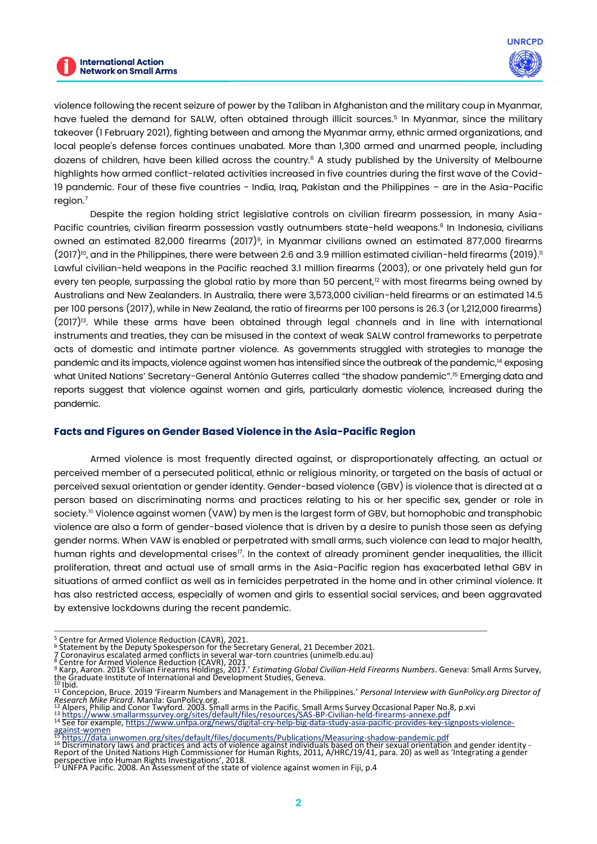violence following the recent seizure of power by the Taliban in Afghanistan and the military coup in Myanmar, have fueled the demand for SALW, often obtained through illicit sources.<sup>5</sup> In Myanmar, since the military takeover (1 February 2021), fighting between and among the Myanmar army, ethnic armed organizations, and local people's defense forces continues unabated. More than 1,300 armed and unarmed people, including dozens of children, have been killed across the country.<sup>6</sup> A study published by the University of Melbourne highlights how armed conflict-related activities increased in five countries during the first wave of the Covid-19 pandemic. Four of these five countries - India, Iraq, Pakistan and the Philippines – are in the Asia-Pacific region.<sup>7</sup>

Despite the region holding strict legislative controls on civilian firearm possession, in many Asia-Pacific countries, civilian firearm possession vastly outnumbers state-held weapons.<sup>8</sup> In Indonesia, civilians owned an estimated 82,000 firearms (2017)<sup>9</sup>, in Myanmar civilians owned an estimated 877,000 firearms  $(2017)^{10}$ , and in the Philippines, there were between 2.6 and 3.9 million estimated civilian-held firearms  $(2019)^{11}$ Lawful civilian-held weapons in the Pacific reached 3.1 million firearms (2003), or one privately held gun for every ten people, surpassing the global ratio by more than 50 percent,<sup>12</sup> with most firearms being owned by Australians and New Zealanders. In Australia, there were 3,573,000 civilian-held firearms or an estimated 14.5 per 100 persons (2017), while in New Zealand, the ratio of firearms per 100 persons is 26.3 (or 1,212,000 firearms)  $(2017)^{13}$ . While these arms have been obtained through legal channels and in line with international instruments and treaties, they can be misused in the context of weak SALW control frameworks to perpetrate acts of domestic and intimate partner violence. As governments struggled with strategies to manage the pandemic and its impacts, violence against women has intensified since the outbreak of the pandemic,<sup>14</sup> exposing what United Nations' Secretary-General António Guterres called "the shadow pandemic".<sup>15</sup> Emerging data and reports suggest that violence against women and girls, particularly domestic violence, increased during the pandemic.

## **Facts and Figures on Gender Based Violence in the Asia-Pacific Region**

Armed violence is most frequently directed against, or disproportionately affecting, an actual or perceived member of a persecuted political, ethnic or religious minority, or targeted on the basis of actual or perceived sexual orientation or gender identity. Gender-based violence (GBV) is violence that is directed at a person based on discriminating norms and practices relating to his or her specific sex, gender or role in society.<sup>16</sup> Violence against women (VAW) by men is the largest form of GBV, but homophobic and transphobic violence are also a form of gender-based violence that is driven by a desire to punish those seen as defying gender norms. When VAW is enabled or perpetrated with small arms, such violence can lead to major health, human rights and developmental crises<sup>17</sup>. In the context of already prominent gender inequalities, the illicit proliferation, threat and actual use of small arms in the Asia-Pacific region has exacerbated lethal GBV in situations of armed conflict as well as in femicides perpetrated in the home and in other criminal violence. It has also restricted access, especially of women and girls to essential social services, and been aggravated by extensive lockdowns during the recent pandemic.

*Research Mike Picard*. Manila: GunPolicy.org.<br><sup>12</sup> Alpers, Philip and Conor Twyford. 2003. Small arms in the Pacific. Small Arms Survey Occasional Paper No.8, p.xvi<br><sup>13</sup> https://www.smallarmssurvey.org/sites/default/files against-women

<sup>5</sup> Centre for Armed Violence Reduction (CAVR), 2021. <sup>6</sup> Statement by the Deputy Spokesperson for the Secretary General, 21 December 2021.

<sup>7</sup> [Coronavirus escalated armed conflicts in several war-torn countries \(unimelb.edu.au\)](https://about.unimelb.edu.au/newsroom/news/2020/december/covid-19-escalated-armed-conflicts-in-several-war-torn-countries)<br><sup>8</sup> Centre for Armed Violence Reduction (CAVR), 2021<br><sup>9</sup> Karp, Aaron. 2018 'Civilian Firearms Holdings, 2017.' *Estimating Global Civil* 

<sup>11</sup> Concepcion, Bruce. 2019 'Firearm Numbers and Management in the Philippines.' *Personal Interview with GunPolicy.org Director of* 

<sup>15</sup> https://data.unwomen.org/sites/default/files/documents/Publications/Measuring-shadow-pandemic.pdf

<sup>16</sup> Discriminatory laws and practices and acts of violence against individuals based on their sexual orientation and gender identity -Report of the United Nations High Commissioner for Human Rights, 2011, A/HRC/19/41, para. 20) as well as 'Integrating a gender perspective into Human Rights Investigations', 2018.<br><sup>17</sup> UNFPA Pacific. 2008. An Assessment of the state of violence against women in Fiji, p.4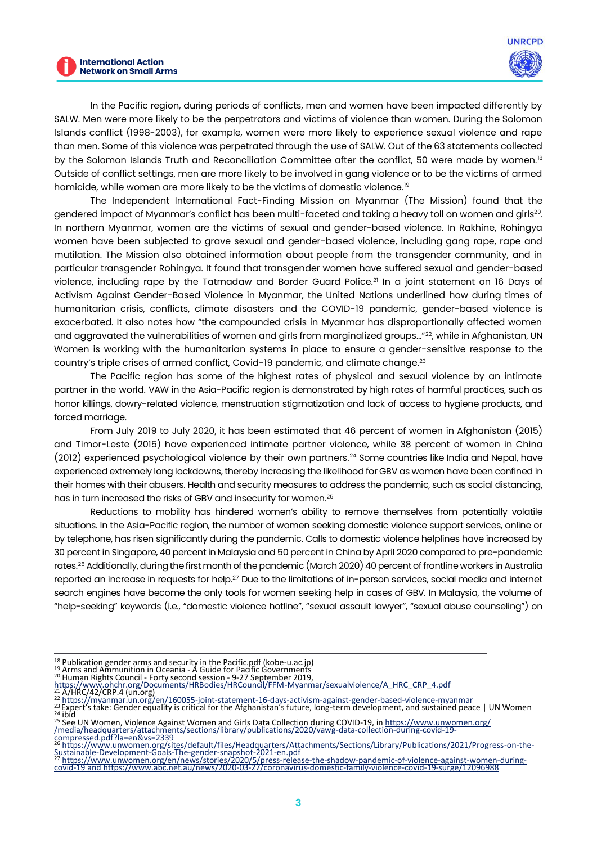

In the Pacific region, during periods of conflicts, men and women have been impacted differently by SALW. Men were more likely to be the perpetrators and victims of violence than women. During the Solomon Islands conflict (1998-2003), for example, women were more likely to experience sexual violence and rape than men. Some of this violence was perpetrated through the use of SALW. Out of the 63 statements collected by the Solomon Islands Truth and Reconciliation Committee after the conflict, 50 were made by women.<sup>18</sup> Outside of conflict settings, men are more likely to be involved in gang violence or to be the victims of armed homicide, while women are more likely to be the victims of domestic violence.<sup>19</sup>

The Independent International Fact-Finding Mission on Myanmar (The Mission) found that the gendered impact of Myanmar's conflict has been multi-faceted and taking a heavy toll on women and girls $^{\rm 20}$ . In northern Myanmar, women are the victims of sexual and gender-based violence. In Rakhine, Rohingya women have been subjected to grave sexual and gender-based violence, including gang rape, rape and mutilation. The Mission also obtained information about people from the transgender community, and in particular transgender Rohingya. It found that transgender women have suffered sexual and gender-based violence, including rape by the Tatmadaw and Border Guard Police.<sup>21</sup> In a joint statement on 16 Days of Activism Against Gender-Based Violence in Myanmar, the United Nations underlined how during times of humanitarian crisis, conflicts, climate disasters and the COVID-19 pandemic, gender-based violence is exacerbated. It also notes how "the compounded crisis in Myanmar has disproportionally affected women and aggravated the vulnerabilities of women and girls from marginalized groups..."<sup>22</sup>, while in Afghanistan, UN Women is working with the humanitarian systems in place to ensure a gender-sensitive response to the country's triple crises of armed conflict, Covid-19 pandemic, and climate change.<sup>23</sup>

The Pacific region has some of the highest rates of physical and sexual violence by an intimate partner in the world. VAW in the Asia-Pacific region is demonstrated by high rates of harmful practices, such as honor killings, dowry-related violence, menstruation stigmatization and lack of access to hygiene products, and forced marriage.

From July 2019 to July 2020, it has been estimated that 46 percent of women in Afghanistan (2015) and Timor-Leste (2015) have experienced intimate partner violence, while 38 percent of women in China (2012) experienced psychological violence by their own partners.<sup>24</sup> Some countries like India and Nepal, have experienced extremely long lockdowns, thereby increasing the likelihood for GBV as women have been confined in their homes with their abusers. Health and security measures to address the pandemic, such as social distancing, has in turn increased the risks of GBV and insecurity for women.<sup>25</sup>

Reductions to mobility has hindered women's ability to remove themselves from potentially volatile situations. In the Asia-Pacific region, the number of women seeking domestic violence support services, online or by telephone, has risen significantly during the pandemic. Calls to domestic violence helplines have increased by 30 percent in Singapore, 40 percent in Malaysia and 50 percent in China by April 2020 compared to pre-pandemic rates.<sup>26</sup> Additionally, during the first month of the pandemic (March 2020) 40 percent of frontline workers in Australia reported an increase in requests for help.<sup>27</sup> Due to the limitations of in-person services, social media and internet search engines have become the only tools for women seeking help in cases of GBV. In Malaysia, the volume of "help-seeking" keywords (i.e., "domestic violence hotline", "sexual assault lawyer", "sexual abuse counseling") on

<sup>&</sup>lt;sup>18</sup> [Publication gender arms and security in the Pacific.pdf \(kobe-u.ac.jp\)](http://www2.kobe-u.ac.jp/~alexroni/TR2017%20Readings/TR_2017_10/Publication%20gender%20arms%20and%20security%20in%20the%20Pacific.pdf)<br><sup>19</sup> [Arms and Ammunition in Oceania -](https://www.un.org/disarmament/wp-content/uploads/2018/07/guide-for-governments.pdf) A Guide for Pacific Governments<br><sup>20</sup> Human Rights Council - Forty second session - 9-27 September 2019,<br><u>htt</u>

<sup>&</sup>lt;sup>21</sup> [A/HRC/42/CRP.4 \(un.org\)](https://www.un.org/sexualviolenceinconflict/wp-content/uploads/2019/08/report/sexual-and-gender-based-violence-in-myanmar-and-the-gendered-impact-of-its-ethnic-conflicts/A_HRC_CRP_4.pdf)<br><sup>22</sup> https://myanmar.un.org/en/160055-joint-statement-16-days-activism-against-gender-based-violence-myanmar<br><sup>23</sup> [Expert's take: Gender equality is critical for the Afghanistan's future, long](https://www.unwomen.org/en/news/stories/2021/10/experts-take-gender-equality-is-critical-for-the-afghanistans-future)-t

<sup>&</sup>lt;sup>25</sup> See UN Women, Violence Against Women and Girls Data Collection during COVID-19, in https://www.unwomen.org/<br>/media/headquarters/attachments/sections/library/publications/2020/vawg-data-collection-during-covid-19-

compressed.pdf?la=en&vs=2339<br>26 https://www.unwomen.org/sites/default/files/Headquarters/Attachments/Sections/Library/Publications/2021/Progress-on-the-<br>Sustainable-Development-Goals-The-gender-snapshot-2021-en.pdf<br>27 http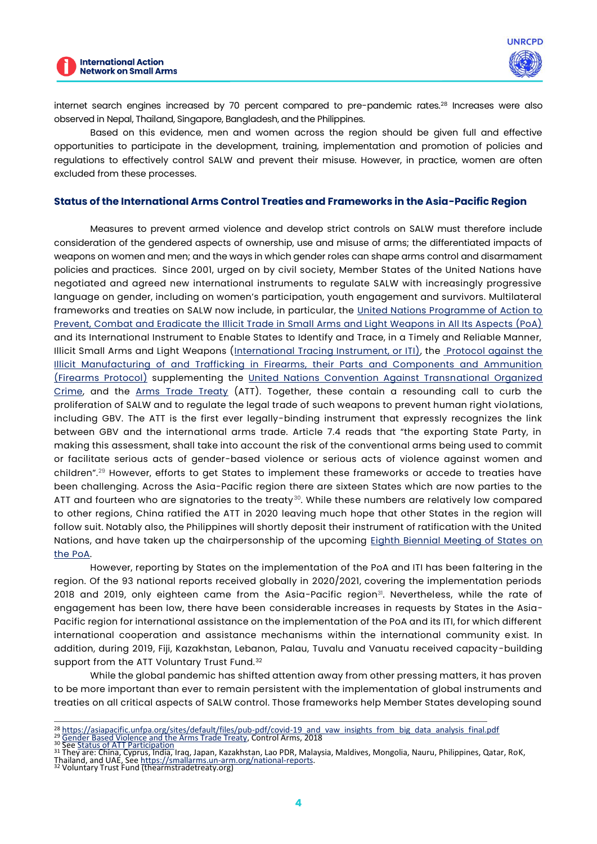

internet search engines increased by 70 percent compared to pre-pandemic rates.<sup>28</sup> Increases were also observed in Nepal, Thailand, Singapore, Bangladesh, and the Philippines.

Based on this evidence, men and women across the region should be given full and effective opportunities to participate in the development, training, implementation and promotion of policies and regulations to effectively control SALW and prevent their misuse. However, in practice, women are often excluded from these processes.

## **Status of the International Arms Control Treaties and Frameworks in the Asia-Pacific Region**

Measures to prevent armed violence and develop strict controls on SALW must therefore include consideration of the gendered aspects of ownership, use and misuse of arms; the differentiated impacts of weapons on women and men; and the ways in which gender roles can shape arms control and disarmament policies and practices. Since 2001, urged on by civil society, Member States of the United Nations have negotiated and agreed new international instruments to regulate SALW with increasingly progressive language on gender, including on women's participation, youth engagement and survivors. Multilateral frameworks and treaties on SALW now include, in particular, the United Nations Programme of Action to [Prevent, Combat and Eradicate the Illicit Trade in Small Arms and Light Weapons in All Its Aspects \(PoA\)](https://undocs.org/en/A/CONF.192/15(SUPP)) and its International Instrument to Enable States to Identify and Trace, in a Timely and Reliable Manner, Illicit Small Arms and Light Weapons [\(International Tracing Instrument, or ITI\),](https://unoda-web.s3.amazonaws.com/wp-content/uploads/2020/02/ITI_English.pdf) the [Protocol against the](https://treaties.un.org/doc/source/recenttexts/18-12_c_e.pdf)  [Illicit Manufacturing of and Trafficking in Firearms, their Parts and Components and Ammunition](https://treaties.un.org/doc/source/recenttexts/18-12_c_e.pdf)  [\(Firearms Protocol\)](https://treaties.un.org/doc/source/recenttexts/18-12_c_e.pdf) supplementing the [United Nations Convention Against Transnational Organized](https://www.unodc.org/documents/treaties/UNTOC/Publications/TOC%20Convention/TOCebook-e.pdf)  [Crime,](https://www.unodc.org/documents/treaties/UNTOC/Publications/TOC%20Convention/TOCebook-e.pdf) and the [Arms Trade Treaty](https://thearmstradetreaty.org/) (ATT). Together, these contain a resounding call to curb the proliferation of SALW and to regulate the legal trade of such weapons to prevent human right violations, including GBV. The ATT is the first ever legally-binding instrument that expressly recognizes the link between GBV and the international arms trade. Article 7.4 reads that "the exporting State Party, in making this assessment, shall take into account the risk of the conventional arms being used to commit or facilitate serious acts of gender-based violence or serious acts of violence against women and children".<sup>29</sup> However, efforts to get States to implement these frameworks or accede to treaties have been challenging. Across the Asia-Pacific region there are sixteen States which are now parties to the ATT and fourteen who are signatories to the treaty<sup>30</sup>. While these numbers are relatively low compared to other regions, China ratified the ATT in 2020 leaving much hope that other States in the region will follow suit. Notably also, the Philippines will shortly deposit their instrument of ratification with the United Nations, and have taken up the chairpersonship of the upcoming Eighth Biennial Meeting of States on [the PoA.](https://meetings.unoda.org/meeting/poa-bms8-2022)

However, reporting by States on the implementation of the PoA and ITI has been faltering in the region. Of the 93 national reports received globally in 2020/2021, covering the implementation periods 2018 and 2019, only eighteen came from the Asia-Pacific region<sup>31</sup>. Nevertheless, while the rate of engagement has been low, there have been considerable increases in requests by States in the Asia-Pacific region for international assistance on the implementation of the PoA and its ITI, for which different international cooperation and assistance mechanisms within the international community exist. In addition, during 2019, Fiji, Kazakhstan, Lebanon, Palau, Tuvalu and Vanuatu received capacity-building support from the ATT Voluntary Trust Fund.<sup>32</sup>

While the global pandemic has shifted attention away from other pressing matters, it has proven to be more important than ever to remain persistent with the implementation of global instruments and treaties on all critical aspects of SALW control. Those frameworks help Member States developing sound

- <sup>28</sup> https://asiapacific.unfpa.org/sites/default/files/pub-pdf/covid-19 and vaw insights from big data analysis final.pdf<br><sup>29</sup> [Gender Based Violence and the Arms Trade Treaty,](https://controlarms.org/wp-content/uploads/2018/04/Gender-Based-Violence-and-the-Arms-Trade-Treaty.pdf#:~:text=Gender-based violence and the Arms Trade Treaty %28ATT%29,will be used to facilitate GBV %28article 7%284%29%29.) Control Arms, 2018<br><sup>30</sup> See <u>Status of ATT Par</u>
-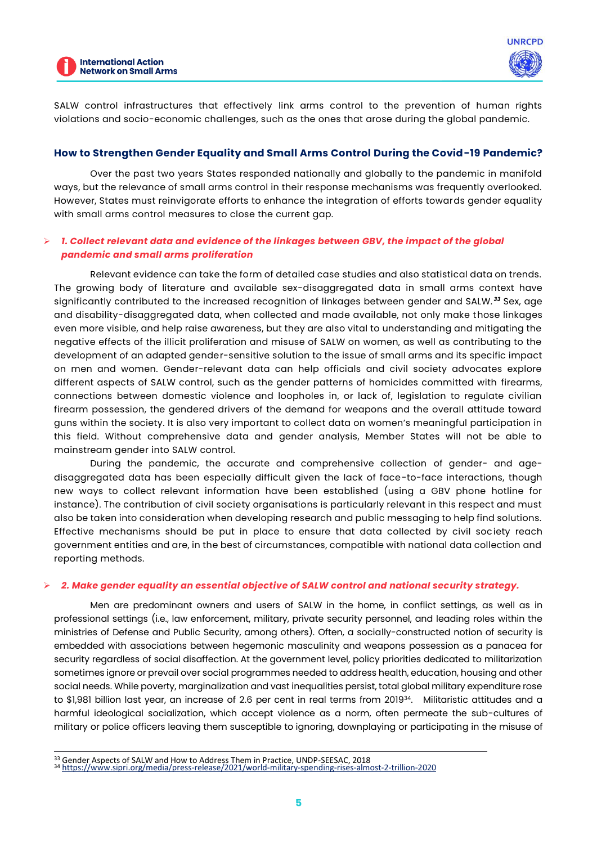



SALW control infrastructures that effectively link arms control to the prevention of human rights violations and socio-economic challenges, such as the ones that arose during the global pandemic.

## **How to Strengthen Gender Equality and Small Arms Control During the Covid-19 Pandemic?**

Over the past two years States responded nationally and globally to the pandemic in manifold ways, but the relevance of small arms control in their response mechanisms was frequently overlooked. However, States must reinvigorate efforts to enhance the integration of efforts towards gender equality with small arms control measures to close the current gap.

## ➢ *1. Collect relevant data and evidence of the linkages between GBV, the impact of the global pandemic and small arms proliferation*

Relevant evidence can take the form of detailed case studies and also statistical data on trends. The growing body of literature and available sex-disaggregated data in small arms context have significantly contributed to the increased recognition of linkages between gender and SALW. *<sup>33</sup>* Sex, age and disability-disaggregated data, when collected and made available, not only make those linkages even more visible, and help raise awareness, but they are also vital to understanding and mitigating the negative effects of the illicit proliferation and misuse of SALW on women, as well as contributing to the development of an adapted gender-sensitive solution to the issue of small arms and its specific impact on men and women. Gender-relevant data can help officials and civil society advocates explore different aspects of SALW control, such as the gender patterns of homicides committed with firearms, connections between domestic violence and loopholes in, or lack of, legislation to regulate civilian firearm possession, the gendered drivers of the demand for weapons and the overall attitude toward guns within the society. It is also very important to collect data on women's meaningful participation in this field. Without comprehensive data and gender analysis, Member States will not be able to mainstream gender into SALW control.

During the pandemic, the accurate and comprehensive collection of gender- and agedisaggregated data has been especially difficult given the lack of face-to-face interactions, though new ways to collect relevant information have been established (using a GBV phone hotline for instance). The contribution of civil society organisations is particularly relevant in this respect and must also be taken into consideration when developing research and public messaging to help find solutions. Effective mechanisms should be put in place to ensure that data collected by civil society reach government entities and are, in the best of circumstances, compatible with national data collection and reporting methods.

#### ➢ *2. Make gender equality an essential objective of SALW control and national security strategy.*

Men are predominant owners and users of SALW in the home, in conflict settings, as well as in professional settings (i.e., law enforcement, military, private security personnel, and leading roles within the ministries of Defense and Public Security, among others). Often, a socially-constructed notion of security is embedded with associations between hegemonic masculinity and weapons possession as a panacea for security regardless of social disaffection. At the government level, policy priorities dedicated to militarization sometimes ignore or prevail over social programmes needed to address health, education, housing and other social needs. While poverty, marginalization and vast inequalities persist, total global military expenditure rose to \$1,981 billion last year, an increase of 2.6 per cent in real terms from 2019<sup>34</sup>. Militaristic attitudes and a harmful ideological socialization, which accept violence as a norm, often permeate the sub-cultures of military or police officers leaving them susceptible to ignoring, downplaying or participating in the misuse of

<sup>33</sup> Gender Aspects of SALW and How to Address Them in Practice, UNDP-SEESAC, 2018

<sup>34</sup> <https://www.sipri.org/media/press-release/2021/world-military-spending-rises-almost-2-trillion-2020>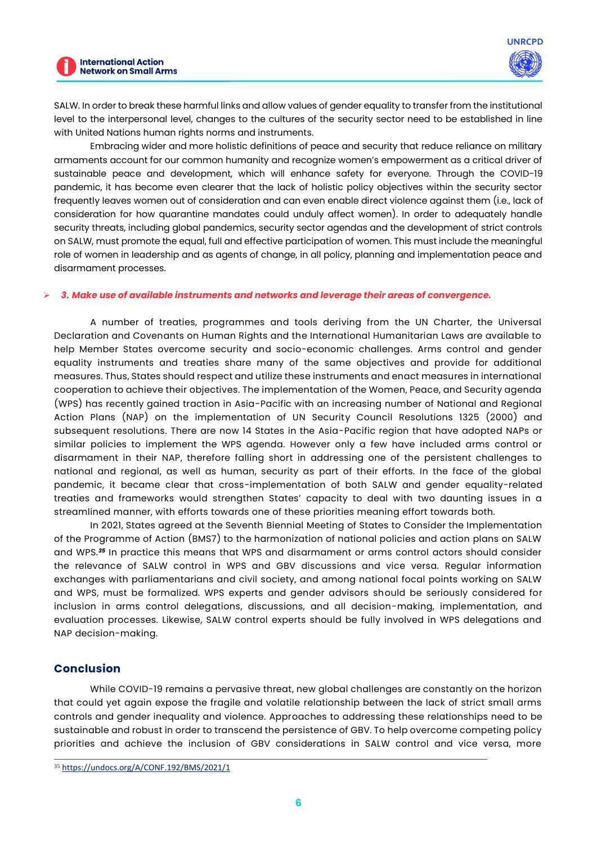

SALW. In order to break these harmful links and allow values of gender equality to transfer from the institutional level to the interpersonal level, changes to the cultures of the security sector need to be established in line with United Nations human rights norms and instruments.

Embracing wider and more holistic definitions of peace and security that reduce reliance on military armaments account for our common humanity and recognize women's empowerment as a critical driver of sustainable peace and development, which will enhance safety for everyone. Through the COVID-19 pandemic, it has become even clearer that the lack of holistic policy objectives within the security sector frequently leaves women out of consideration and can even enable direct violence against them (i.e., lack of consideration for how quarantine mandates could unduly affect women). In order to adequately handle security threats, including global pandemics, security sector agendas and the development of strict controls on SALW, must promote the equal, full and effective participation of women. This must include the meaningful role of women in leadership and as agents of change, in all policy, planning and implementation peace and disarmament processes.

#### ➢ *3. Make use of available instruments and networks and leverage their areas of convergence.*

A number of treaties, programmes and tools deriving from the UN Charter, the Universal Declaration and Covenants on Human Rights and the International Humanitarian Laws are available to help Member States overcome security and socio-economic challenges. Arms control and gender equality instruments and treaties share many of the same objectives and provide for additional measures. Thus, States should respect and utilize these instruments and enact measures in international cooperation to achieve their objectives. The implementation of the Women, Peace, and Security agenda (WPS) has recently gained traction in Asia-Pacific with an increasing number of National and Regional Action Plans (NAP) on the implementation of UN Security Council Resolutions 1325 (2000) and subsequent resolutions. There are now 14 States in the Asia-Pacific region that have adopted NAPs or similar policies to implement the WPS agenda. However only a few have included arms control or disarmament in their NAP, therefore falling short in addressing one of the persistent challenges to national and regional, as well as human, security as part of their efforts. In the face of the global pandemic, it became clear that cross-implementation of both SALW and gender equality-related treaties and frameworks would strengthen States' capacity to deal with two daunting issues in a streamlined manner, with efforts towards one of these priorities meaning effort towards both.

In 2021, States agreed at the Seventh Biennial Meeting of States to Consider the Implementation of the Programme of Action (BMS7) to the harmonization of national policies and action plans on SALW and WPS.*<sup>35</sup>* In practice this means that WPS and disarmament or arms control actors should consider the relevance of SALW control in WPS and GBV discussions and vice versa. Regular information exchanges with parliamentarians and civil society, and among national focal points working on SALW and WPS, must be formalized. WPS experts and gender advisors should be seriously considered for inclusion in arms control delegations, discussions, and all decision-making, implementation, and evaluation processes. Likewise, SALW control experts should be fully involved in WPS delegations and NAP decision-making.

## **Conclusion**

While COVID-19 remains a pervasive threat, new global challenges are constantly on the horizon that could yet again expose the fragile and volatile relationship between the lack of strict small arms controls and gender inequality and violence. Approaches to addressing these relationships need to be sustainable and robust in order to transcend the persistence of GBV. To help overcome competing policy priorities and achieve the inclusion of GBV considerations in SALW control and vice versa, more

<sup>35</sup> <https://undocs.org/A/CONF.192/BMS/2021/1>